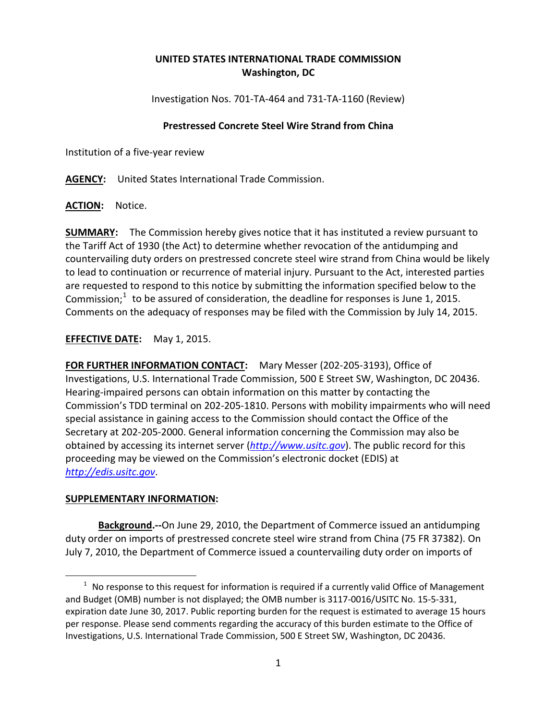## **UNITED STATES INTERNATIONAL TRADE COMMISSION Washington, DC**

Investigation Nos. 701-TA-464 and 731-TA-1160 (Review)

## **Prestressed Concrete Steel Wire Strand from China**

Institution of a five-year review

**AGENCY:** United States International Trade Commission.

**ACTION:** Notice.

**SUMMARY:** The Commission hereby gives notice that it has instituted a review pursuant to the Tariff Act of 1930 (the Act) to determine whether revocation of the antidumping and countervailing duty orders on prestressed concrete steel wire strand from China would be likely to lead to continuation or recurrence of material injury. Pursuant to the Act, interested parties are requested to respond to this notice by submitting the information specified below to the Commission; $1$  to be assured of consideration, the deadline for responses is June 1, 2015. Comments on the adequacy of responses may be filed with the Commission by July 14, 2015.

**EFFECTIVE DATE:** May 1, 2015.

**FOR FURTHER INFORMATION CONTACT:** Mary Messer (202-205-3193), Office of Investigations, U.S. International Trade Commission, 500 E Street SW, Washington, DC 20436. Hearing-impaired persons can obtain information on this matter by contacting the Commission's TDD terminal on 202-205-1810. Persons with mobility impairments who will need special assistance in gaining access to the Commission should contact the Office of the Secretary at 202-205-2000. General information concerning the Commission may also be obtained by accessing its internet server (*[http://www.usitc.gov](http://www.usitc.gov/)*). The public record for this proceeding may be viewed on the Commission's electronic docket (EDIS) at *[http://edis.usitc.gov](http://edis.usitc.gov/)*.

## **SUPPLEMENTARY INFORMATION:**

 $\overline{a}$ 

**Background.--**On June 29, 2010, the Department of Commerce issued an antidumping duty order on imports of prestressed concrete steel wire strand from China (75 FR 37382). On July 7, 2010, the Department of Commerce issued a countervailing duty order on imports of

<span id="page-0-0"></span> $1$  No response to this request for information is required if a currently valid Office of Management and Budget (OMB) number is not displayed; the OMB number is 3117-0016/USITC No. 15-5-331, expiration date June 30, 2017. Public reporting burden for the request is estimated to average 15 hours per response. Please send comments regarding the accuracy of this burden estimate to the Office of Investigations, U.S. International Trade Commission, 500 E Street SW, Washington, DC 20436.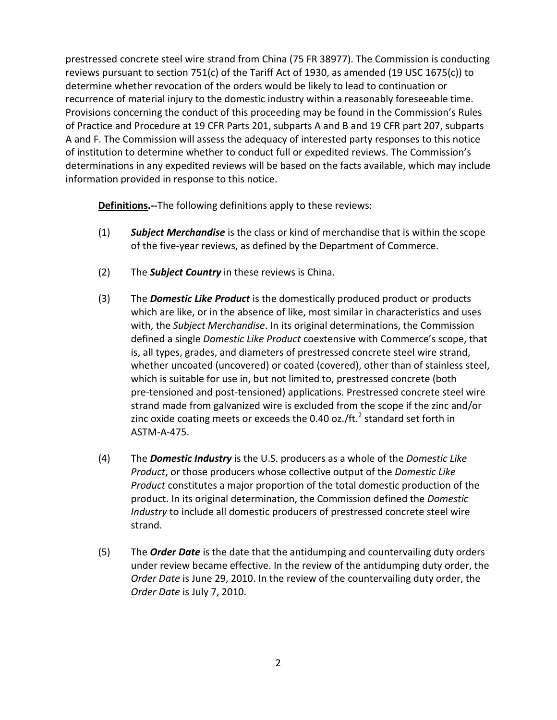prestressed concrete steel wire strand from China (75 FR 38977). The Commission is conducting reviews pursuant to section 751(c) of the Tariff Act of 1930, as amended (19 USC 1675(c)) to determine whether revocation of the orders would be likely to lead to continuation or recurrence of material injury to the domestic industry within a reasonably foreseeable time. Provisions concerning the conduct of this proceeding may be found in the Commission's Rules of Practice and Procedure at 19 CFR Parts 201, subparts A and B and 19 CFR part 207, subparts A and F. The Commission will assess the adequacy of interested party responses to this notice of institution to determine whether to conduct full or expedited reviews. The Commission's determinations in any expedited reviews will be based on the facts available, which may include information provided in response to this notice.

**Definitions.--**The following definitions apply to these reviews:

- (1) *Subject Merchandise* is the class or kind of merchandise that is within the scope of the five-year reviews, as defined by the Department of Commerce.
- (2) The *Subject Country* in these reviews is China.
- (3) The *Domestic Like Product* is the domestically produced product or products which are like, or in the absence of like, most similar in characteristics and uses with, the *Subject Merchandise*. In its original determinations, the Commission defined a single *Domestic Like Product* coextensive with Commerce's scope, that is, all types, grades, and diameters of prestressed concrete steel wire strand, whether uncoated (uncovered) or coated (covered), other than of stainless steel, which is suitable for use in, but not limited to, prestressed concrete (both pre-tensioned and post-tensioned) applications. Prestressed concrete steel wire strand made from galvanized wire is excluded from the scope if the zinc and/or zinc oxide coating meets or exceeds the 0.40 oz./ft.<sup>2</sup> standard set forth in ASTM-A-475.
- (4) The *Domestic Industry* is the U.S. producers as a whole of the *Domestic Like Product*, or those producers whose collective output of the *Domestic Like Product* constitutes a major proportion of the total domestic production of the product. In its original determination, the Commission defined the *Domestic Industry* to include all domestic producers of prestressed concrete steel wire strand.
- (5) The *Order Date* is the date that the antidumping and countervailing duty orders under review became effective. In the review of the antidumping duty order, the *Order Date* is June 29, 2010. In the review of the countervailing duty order, the *Order Date* is July 7, 2010.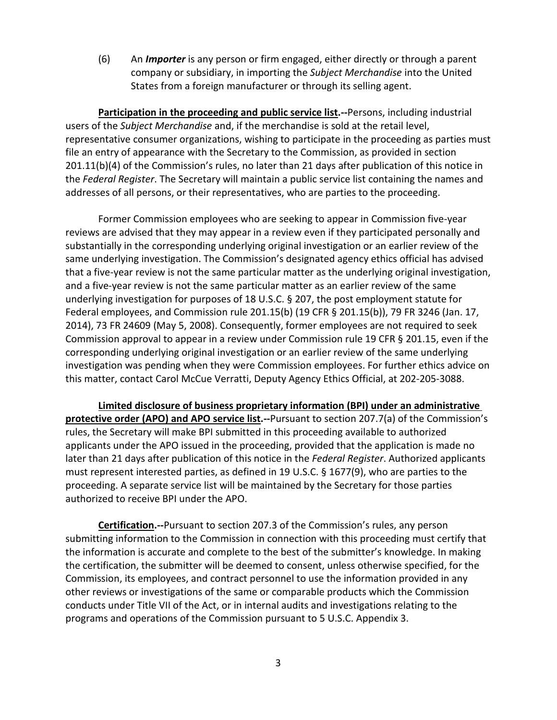(6) An *Importer* is any person or firm engaged, either directly or through a parent company or subsidiary, in importing the *Subject Merchandise* into the United States from a foreign manufacturer or through its selling agent.

**Participation in the proceeding and public service list.--**Persons, including industrial users of the *Subject Merchandise* and, if the merchandise is sold at the retail level, representative consumer organizations, wishing to participate in the proceeding as parties must file an entry of appearance with the Secretary to the Commission, as provided in section 201.11(b)(4) of the Commission's rules, no later than 21 days after publication of this notice in the *Federal Register*. The Secretary will maintain a public service list containing the names and addresses of all persons, or their representatives, who are parties to the proceeding.

Former Commission employees who are seeking to appear in Commission five-year reviews are advised that they may appear in a review even if they participated personally and substantially in the corresponding underlying original investigation or an earlier review of the same underlying investigation. The Commission's designated agency ethics official has advised that a five-year review is not the same particular matter as the underlying original investigation, and a five-year review is not the same particular matter as an earlier review of the same underlying investigation for purposes of 18 U.S.C. § 207, the post employment statute for Federal employees, and Commission rule 201.15(b) (19 CFR § 201.15(b)), 79 FR 3246 (Jan. 17, 2014), 73 FR 24609 (May 5, 2008). Consequently, former employees are not required to seek Commission approval to appear in a review under Commission rule 19 CFR § 201.15, even if the corresponding underlying original investigation or an earlier review of the same underlying investigation was pending when they were Commission employees. For further ethics advice on this matter, contact Carol McCue Verratti, Deputy Agency Ethics Official, at 202-205-3088.

**Limited disclosure of business proprietary information (BPI) under an administrative protective order (APO) and APO service list.--**Pursuant to section 207.7(a) of the Commission's rules, the Secretary will make BPI submitted in this proceeding available to authorized applicants under the APO issued in the proceeding, provided that the application is made no later than 21 days after publication of this notice in the *Federal Register*. Authorized applicants must represent interested parties, as defined in 19 U.S.C. § 1677(9), who are parties to the proceeding. A separate service list will be maintained by the Secretary for those parties authorized to receive BPI under the APO.

**Certification.--**Pursuant to section 207.3 of the Commission's rules, any person submitting information to the Commission in connection with this proceeding must certify that the information is accurate and complete to the best of the submitter's knowledge. In making the certification, the submitter will be deemed to consent, unless otherwise specified, for the Commission, its employees, and contract personnel to use the information provided in any other reviews or investigations of the same or comparable products which the Commission conducts under Title VII of the Act, or in internal audits and investigations relating to the programs and operations of the Commission pursuant to 5 U.S.C. Appendix 3.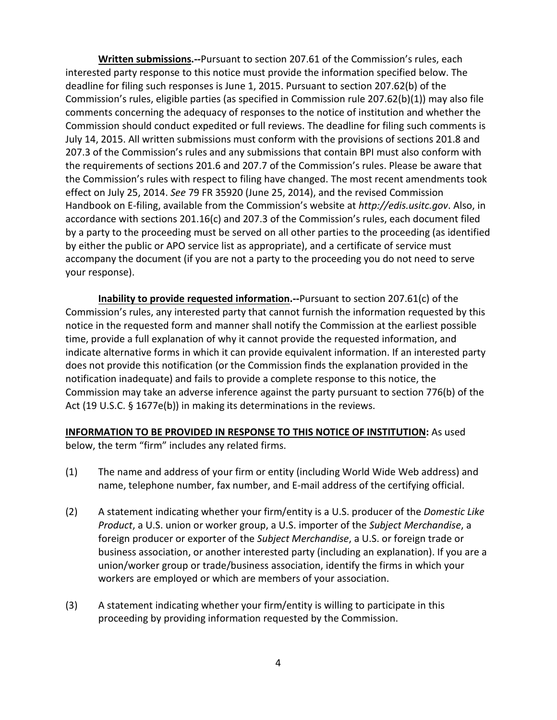**Written submissions.--**Pursuant to section 207.61 of the Commission's rules, each interested party response to this notice must provide the information specified below. The deadline for filing such responses is June 1, 2015. Pursuant to section 207.62(b) of the Commission's rules, eligible parties (as specified in Commission rule 207.62(b)(1)) may also file comments concerning the adequacy of responses to the notice of institution and whether the Commission should conduct expedited or full reviews. The deadline for filing such comments is July 14, 2015. All written submissions must conform with the provisions of sections 201.8 and 207.3 of the Commission's rules and any submissions that contain BPI must also conform with the requirements of sections 201.6 and 207.7 of the Commission's rules. Please be aware that the Commission's rules with respect to filing have changed. The most recent amendments took effect on July 25, 2014. *See* 79 FR 35920 (June 25, 2014), and the revised Commission Handbook on E-filing, available from the Commission's website at *http://edis.usitc.gov*. Also, in accordance with sections 201.16(c) and 207.3 of the Commission's rules, each document filed by a party to the proceeding must be served on all other parties to the proceeding (as identified by either the public or APO service list as appropriate), and a certificate of service must accompany the document (if you are not a party to the proceeding you do not need to serve your response).

**Inability to provide requested information.--**Pursuant to section 207.61(c) of the Commission's rules, any interested party that cannot furnish the information requested by this notice in the requested form and manner shall notify the Commission at the earliest possible time, provide a full explanation of why it cannot provide the requested information, and indicate alternative forms in which it can provide equivalent information. If an interested party does not provide this notification (or the Commission finds the explanation provided in the notification inadequate) and fails to provide a complete response to this notice, the Commission may take an adverse inference against the party pursuant to section 776(b) of the Act (19 U.S.C. § 1677e(b)) in making its determinations in the reviews.

## **INFORMATION TO BE PROVIDED IN RESPONSE TO THIS NOTICE OF INSTITUTION:** As used

below, the term "firm" includes any related firms.

- (1) The name and address of your firm or entity (including World Wide Web address) and name, telephone number, fax number, and E-mail address of the certifying official.
- (2) A statement indicating whether your firm/entity is a U.S. producer of the *Domestic Like Product*, a U.S. union or worker group, a U.S. importer of the *Subject Merchandise*, a foreign producer or exporter of the *Subject Merchandise*, a U.S. or foreign trade or business association, or another interested party (including an explanation). If you are a union/worker group or trade/business association, identify the firms in which your workers are employed or which are members of your association.
- (3) A statement indicating whether your firm/entity is willing to participate in this proceeding by providing information requested by the Commission.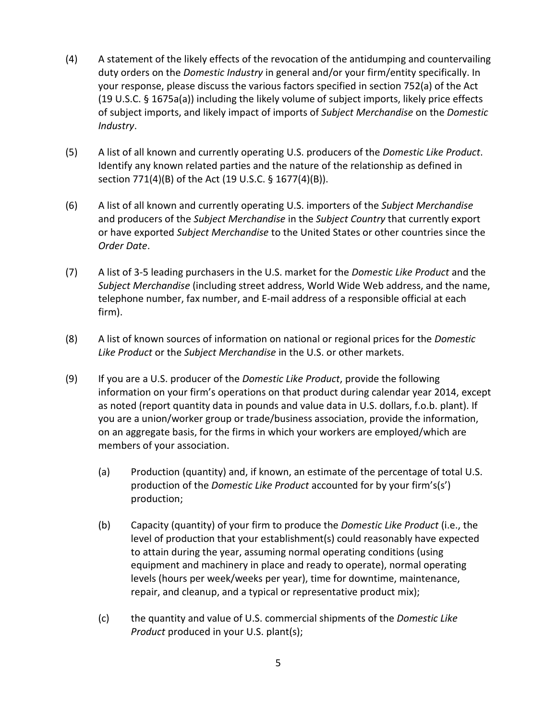- (4) A statement of the likely effects of the revocation of the antidumping and countervailing duty orders on the *Domestic Industry* in general and/or your firm/entity specifically. In your response, please discuss the various factors specified in section 752(a) of the Act (19 U.S.C. § 1675a(a)) including the likely volume of subject imports, likely price effects of subject imports, and likely impact of imports of *Subject Merchandise* on the *Domestic Industry*.
- (5) A list of all known and currently operating U.S. producers of the *Domestic Like Product*. Identify any known related parties and the nature of the relationship as defined in section 771(4)(B) of the Act (19 U.S.C. § 1677(4)(B)).
- (6) A list of all known and currently operating U.S. importers of the *Subject Merchandise* and producers of the *Subject Merchandise* in the *Subject Country* that currently export or have exported *Subject Merchandise* to the United States or other countries since the *Order Date*.
- (7) A list of 3-5 leading purchasers in the U.S. market for the *Domestic Like Product* and the *Subject Merchandise* (including street address, World Wide Web address, and the name, telephone number, fax number, and E-mail address of a responsible official at each firm).
- (8) A list of known sources of information on national or regional prices for the *Domestic Like Product* or the *Subject Merchandise* in the U.S. or other markets.
- (9) If you are a U.S. producer of the *Domestic Like Product*, provide the following information on your firm's operations on that product during calendar year 2014, except as noted (report quantity data in pounds and value data in U.S. dollars, f.o.b. plant). If you are a union/worker group or trade/business association, provide the information, on an aggregate basis, for the firms in which your workers are employed/which are members of your association.
	- (a) Production (quantity) and, if known, an estimate of the percentage of total U.S. production of the *Domestic Like Product* accounted for by your firm's(s') production;
	- (b) Capacity (quantity) of your firm to produce the *Domestic Like Product* (i.e., the level of production that your establishment(s) could reasonably have expected to attain during the year, assuming normal operating conditions (using equipment and machinery in place and ready to operate), normal operating levels (hours per week/weeks per year), time for downtime, maintenance, repair, and cleanup, and a typical or representative product mix);
	- (c) the quantity and value of U.S. commercial shipments of the *Domestic Like Product* produced in your U.S. plant(s);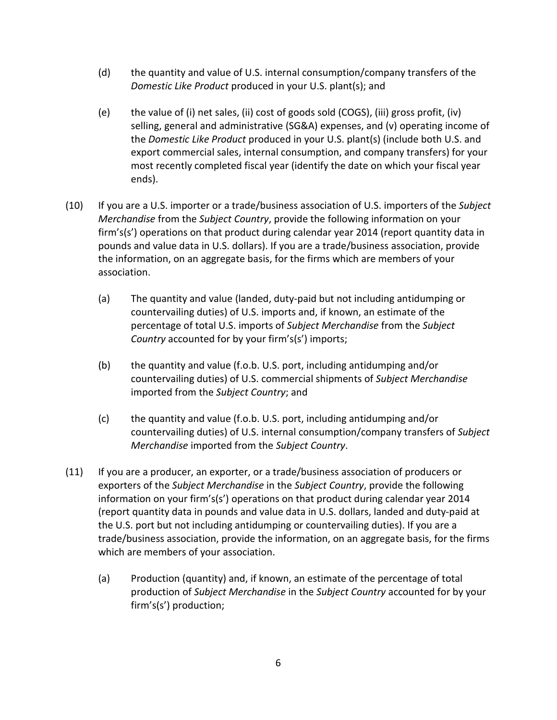- (d) the quantity and value of U.S. internal consumption/company transfers of the *Domestic Like Product* produced in your U.S. plant(s); and
- (e) the value of (i) net sales, (ii) cost of goods sold (COGS), (iii) gross profit, (iv) selling, general and administrative (SG&A) expenses, and (v) operating income of the *Domestic Like Product* produced in your U.S. plant(s) (include both U.S. and export commercial sales, internal consumption, and company transfers) for your most recently completed fiscal year (identify the date on which your fiscal year ends).
- (10) If you are a U.S. importer or a trade/business association of U.S. importers of the *Subject Merchandise* from the *Subject Country*, provide the following information on your firm's(s') operations on that product during calendar year 2014 (report quantity data in pounds and value data in U.S. dollars). If you are a trade/business association, provide the information, on an aggregate basis, for the firms which are members of your association.
	- (a) The quantity and value (landed, duty-paid but not including antidumping or countervailing duties) of U.S. imports and, if known, an estimate of the percentage of total U.S. imports of *Subject Merchandise* from the *Subject Country* accounted for by your firm's(s') imports;
	- (b) the quantity and value (f.o.b. U.S. port, including antidumping and/or countervailing duties) of U.S. commercial shipments of *Subject Merchandise* imported from the *Subject Country*; and
	- (c) the quantity and value (f.o.b. U.S. port, including antidumping and/or countervailing duties) of U.S. internal consumption/company transfers of *Subject Merchandise* imported from the *Subject Country*.
- (11) If you are a producer, an exporter, or a trade/business association of producers or exporters of the *Subject Merchandise* in the *Subject Country*, provide the following information on your firm's(s') operations on that product during calendar year 2014 (report quantity data in pounds and value data in U.S. dollars, landed and duty-paid at the U.S. port but not including antidumping or countervailing duties). If you are a trade/business association, provide the information, on an aggregate basis, for the firms which are members of your association.
	- (a) Production (quantity) and, if known, an estimate of the percentage of total production of *Subject Merchandise* in the *Subject Country* accounted for by your firm's(s') production;